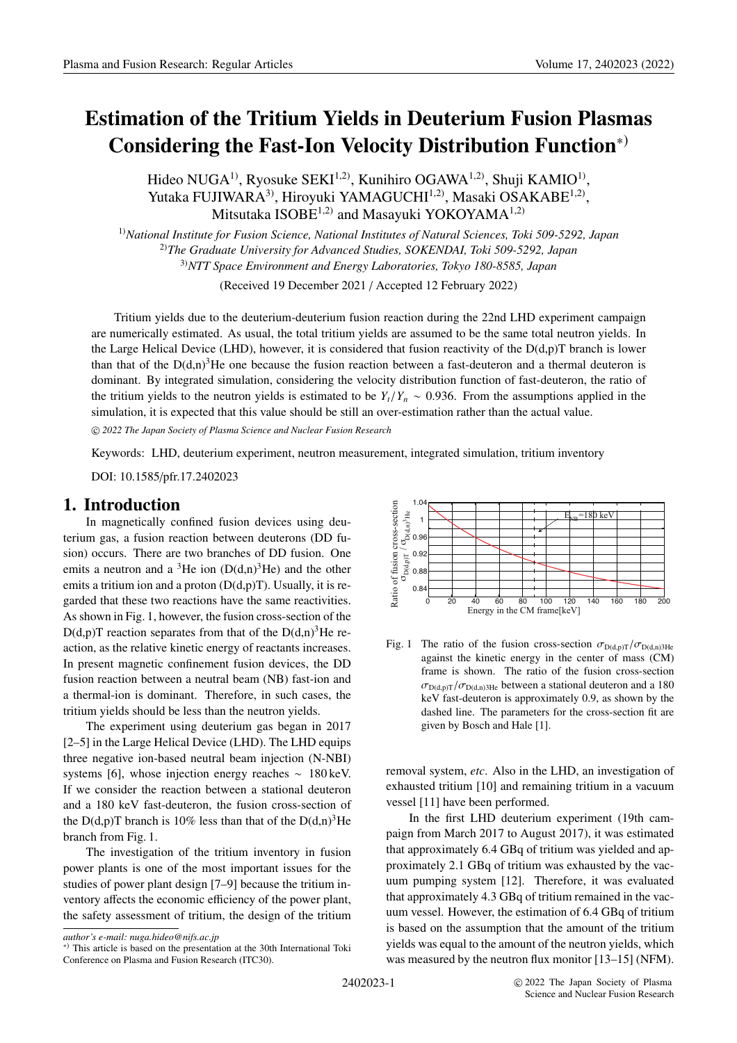Hideo NUGA<sup>1)</sup>, Ryosuke SEKI<sup>1,2)</sup>, Kunihiro OGAWA<sup>1,2)</sup>, Shuji KAMIO<sup>1)</sup>, Yutaka FUJIWARA<sup>3</sup>, Hiroyuki YAMAGUCHI<sup>1,2)</sup>, Masaki OSAKABE<sup>1,2)</sup>, Mitsutaka ISOBE $^{1,2)}$  and Masayuki YOKOYAMA $^{1,2)}$ 

1)*National Institute for Fusion Science, National Institutes of Natural Sciences, Toki 509-5292, Japan* 2)*The Graduate University for Advanced Studies, SOKENDAI, Toki 509-5292, Japan* 3)*NTT Space Environment and Energy Laboratories, Tokyo 180-8585, Japan*

(Received 19 December 2021 / Accepted 12 February 2022)

Tritium yields due to the deuterium-deuterium fusion reaction during the 22nd LHD experiment campaign are numerically estimated. As usual, the total tritium yields are assumed to be the same total neutron yields. In the Large Helical Device (LHD), however, it is considered that fusion reactivity of the  $D(d,p)T$  branch is lower than that of the  $D(d,n)^3$ He one because the fusion reaction between a fast-deuteron and a thermal deuteron is dominant. By integrated simulation, considering the velocity distribution function of fast-deuteron, the ratio of the tritium yields to the neutron yields is estimated to be  $Y_t/Y_n \sim 0.936$ . From the assumptions applied in the simulation, it is expected that this value should be still an over-estimation rather than the actual value.

c *2022 The Japan Society of Plasma Science and Nuclear Fusion Research*

Keywords: LHD, deuterium experiment, neutron measurement, integrated simulation, tritium inventory

DOI: 10.1585/pfr.17.2402023

#### **1. Introduction**

In magnetically confined fusion devices using deuterium gas, a fusion reaction between deuterons (DD fusion) occurs. There are two branches of DD fusion. One emits a neutron and a <sup>3</sup>He ion  $(D(d,n)^3He)$  and the other emits a tritium ion and a proton  $(D(d,p)T)$ . Usually, it is regarded that these two reactions have the same reactivities. As shown in Fig. 1, however, the fusion cross-section of the  $D(d,p)T$  reaction separates from that of the  $D(d,n)^3$ He reaction, as the relative kinetic energy of reactants increases. In present magnetic confinement fusion devices, the DD fusion reaction between a neutral beam (NB) fast-ion and a thermal-ion is dominant. Therefore, in such cases, the tritium yields should be less than the neutron yields.

The experiment using deuterium gas began in 2017 [2–5] in the Large Helical Device (LHD). The LHD equips three negative ion-based neutral beam injection (N-NBI) systems [6], whose injection energy reaches ∼ 180 keV. If we consider the reaction between a stational deuteron and a 180 keV fast-deuteron, the fusion cross-section of the D(d,p)T branch is 10% less than that of the D(d,n)<sup>3</sup>He branch from Fig. 1.

The investigation of the tritium inventory in fusion power plants is one of the most important issues for the studies of power plant design [7–9] because the tritium inventory affects the economic efficiency of the power plant, the safety assessment of tritium, the design of the tritium



Fig. 1 The ratio of the fusion cross-section  $\sigma_{D(d,p)T}/\sigma_{D(d,n)3He}$ against the kinetic energy in the center of mass (CM) frame is shown. The ratio of the fusion cross-section  $\sigma_{D(d,p)T}/\sigma_{D(d,n)3He}$  between a stational deuteron and a 180 keV fast-deuteron is approximately 0.9, as shown by the dashed line. The parameters for the cross-section fit are given by Bosch and Hale [1].

removal system, *etc*. Also in the LHD, an investigation of exhausted tritium [10] and remaining tritium in a vacuum vessel [11] have been performed.

In the first LHD deuterium experiment (19th campaign from March 2017 to August 2017), it was estimated that approximately 6.4 GBq of tritium was yielded and approximately 2.1 GBq of tritium was exhausted by the vacuum pumping system [12]. Therefore, it was evaluated that approximately 4.3 GBq of tritium remained in the vacuum vessel. However, the estimation of 6.4 GBq of tritium is based on the assumption that the amount of the tritium yields was equal to the amount of the neutron yields, which was measured by the neutron flux monitor [13–15] (NFM).

*author's e-mail: nuga.hideo@nifs.ac.jp*

<sup>∗</sup>) This article is based on the presentation at the 30th International Toki Conference on Plasma and Fusion Research (ITC30).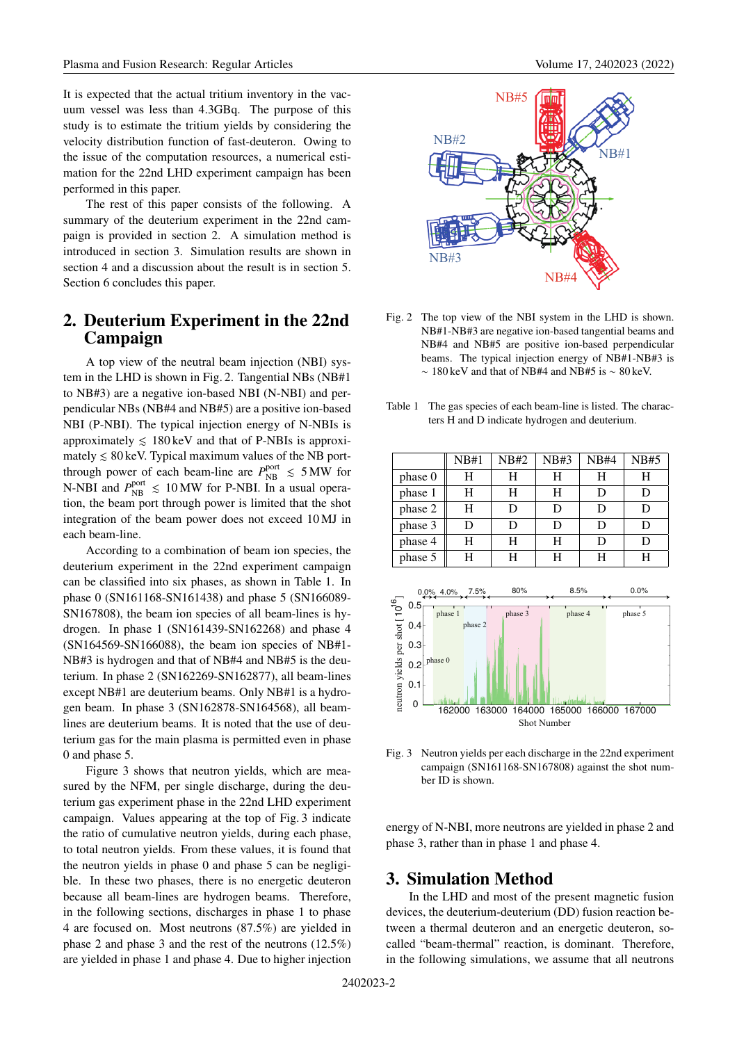It is expected that the actual tritium inventory in the vacuum vessel was less than 4.3GBq. The purpose of this study is to estimate the tritium yields by considering the velocity distribution function of fast-deuteron. Owing to the issue of the computation resources, a numerical estimation for the 22nd LHD experiment campaign has been performed in this paper.

The rest of this paper consists of the following. A summary of the deuterium experiment in the 22nd campaign is provided in section 2. A simulation method is introduced in section 3. Simulation results are shown in section 4 and a discussion about the result is in section 5. Section 6 concludes this paper.

# **2. Deuterium Experiment in the 22nd Campaign**

A top view of the neutral beam injection (NBI) system in the LHD is shown in Fig. 2. Tangential NBs (NB#1 to NB#3) are a negative ion-based NBI (N-NBI) and perpendicular NBs (NB#4 and NB#5) are a positive ion-based NBI (P-NBI). The typical injection energy of N-NBIs is approximately  $\leq 180 \,\text{keV}$  and that of P-NBIs is approximately  $\leq 80$  keV. Typical maximum values of the NB portthrough power of each beam-line are  $P_{\text{NB}}^{\text{port}} \le 5 \text{ MW}$  for N-NBI and  $P_{\text{NB}}^{\text{port}} \le 10 \text{ MW}$  for P-NBI. In a usual operation, the beam port through power is limited that the shot integration of the beam power does not exceed 10 MJ in each beam-line.

According to a combination of beam ion species, the deuterium experiment in the 22nd experiment campaign can be classified into six phases, as shown in Table 1. In phase 0 (SN161168-SN161438) and phase 5 (SN166089- SN167808), the beam ion species of all beam-lines is hydrogen. In phase 1 (SN161439-SN162268) and phase 4 (SN164569-SN166088), the beam ion species of NB#1- NB#3 is hydrogen and that of NB#4 and NB#5 is the deuterium. In phase 2 (SN162269-SN162877), all beam-lines except NB#1 are deuterium beams. Only NB#1 is a hydrogen beam. In phase 3 (SN162878-SN164568), all beamlines are deuterium beams. It is noted that the use of deuterium gas for the main plasma is permitted even in phase 0 and phase 5.

Figure 3 shows that neutron yields, which are measured by the NFM, per single discharge, during the deuterium gas experiment phase in the 22nd LHD experiment campaign. Values appearing at the top of Fig. 3 indicate the ratio of cumulative neutron yields, during each phase, to total neutron yields. From these values, it is found that the neutron yields in phase 0 and phase 5 can be negligible. In these two phases, there is no energetic deuteron because all beam-lines are hydrogen beams. Therefore, in the following sections, discharges in phase 1 to phase 4 are focused on. Most neutrons (87.5%) are yielded in phase 2 and phase 3 and the rest of the neutrons (12.5%) are yielded in phase 1 and phase 4. Due to higher injection



- Fig. 2 The top view of the NBI system in the LHD is shown. NB#1-NB#3 are negative ion-based tangential beams and NB#4 and NB#5 are positive ion-based perpendicular beams. The typical injection energy of NB#1-NB#3 is ∼ 180 keV and that of NB#4 and NB#5 is ∼ 80 keV.
- Table 1 The gas species of each beam-line is listed. The characters H and D indicate hydrogen and deuterium.

|         | NB#1 | <b>NB#2</b> | NB#3 | NB#4 | NB#5 |
|---------|------|-------------|------|------|------|
| phase 0 | H    | H           | H    | H    | H    |
| phase 1 | H    | н           | Н    | D    | D    |
| phase 2 | H    | D           | D    | D    |      |
| phase 3 | D    | D           | D    | D    | D    |
| phase 4 | H    | Н           | H    | D    | D    |
| phase 5 | H    |             |      |      |      |



Fig. 3 Neutron yields per each discharge in the 22nd experiment campaign (SN161168-SN167808) against the shot number ID is shown.

energy of N-NBI, more neutrons are yielded in phase 2 and phase 3, rather than in phase 1 and phase 4.

# **3. Simulation Method**

In the LHD and most of the present magnetic fusion devices, the deuterium-deuterium (DD) fusion reaction between a thermal deuteron and an energetic deuteron, socalled "beam-thermal" reaction, is dominant. Therefore, in the following simulations, we assume that all neutrons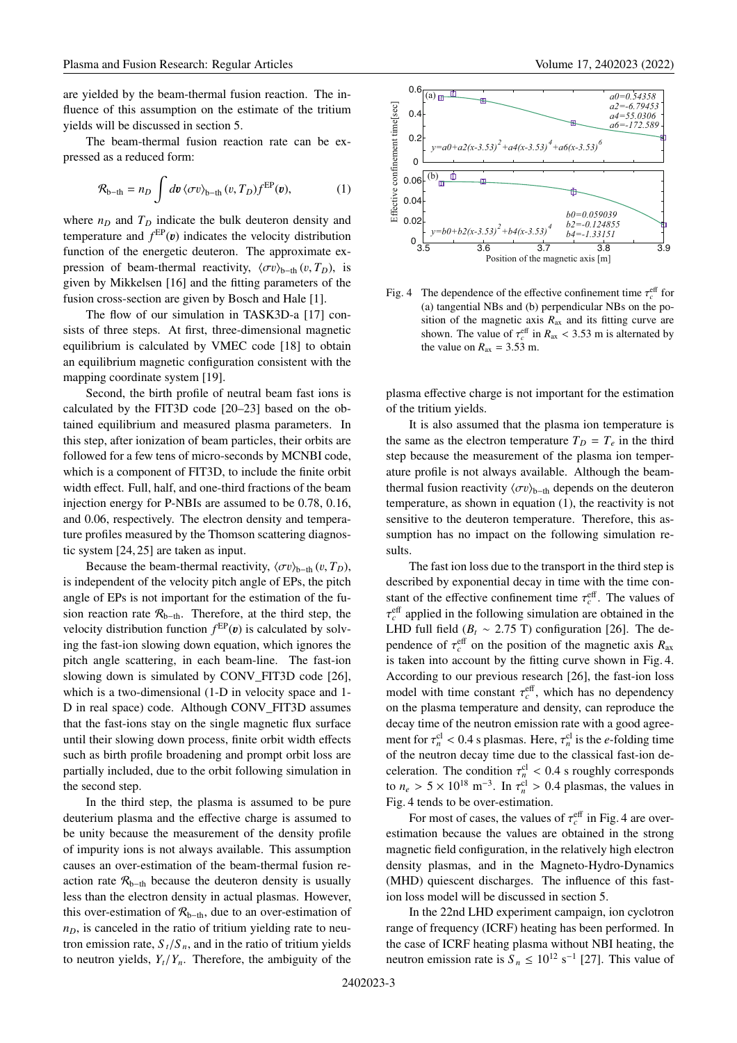are yielded by the beam-thermal fusion reaction. The influence of this assumption on the estimate of the tritium yields will be discussed in section 5.

The beam-thermal fusion reaction rate can be expressed as a reduced form:

$$
\mathcal{R}_{b-th} = n_D \int dv \langle \sigma v \rangle_{b-th} (v, T_D) f^{EP}(v), \qquad (1)
$$

where  $n_D$  and  $T_D$  indicate the bulk deuteron density and temperature and  $f<sup>EP</sup>(v)$  indicates the velocity distribution function of the energetic deuteron. The approximate expression of beam-thermal reactivity,  $\langle \sigma v \rangle_{h-th}$  (v,  $T_D$ ), is given by Mikkelsen [16] and the fitting parameters of the fusion cross-section are given by Bosch and Hale [1].

The flow of our simulation in TASK3D-a [17] consists of three steps. At first, three-dimensional magnetic equilibrium is calculated by VMEC code [18] to obtain an equilibrium magnetic configuration consistent with the mapping coordinate system [19].

Second, the birth profile of neutral beam fast ions is calculated by the FIT3D code [20–23] based on the obtained equilibrium and measured plasma parameters. In this step, after ionization of beam particles, their orbits are followed for a few tens of micro-seconds by MCNBI code, which is a component of FIT3D, to include the finite orbit width effect. Full, half, and one-third fractions of the beam injection energy for P-NBIs are assumed to be 0.78, 0.16, and 0.06, respectively. The electron density and temperature profiles measured by the Thomson scattering diagnostic system [24, 25] are taken as input.

Because the beam-thermal reactivity,  $\langle \sigma v \rangle_{\text{b-th}} (v, T_D)$ , is independent of the velocity pitch angle of EPs, the pitch angle of EPs is not important for the estimation of the fusion reaction rate  $\mathcal{R}_{b-th}$ . Therefore, at the third step, the velocity distribution function  $f^{EP}(v)$  is calculated by solving the fast-ion slowing down equation, which ignores the pitch angle scattering, in each beam-line. The fast-ion slowing down is simulated by CONV\_FIT3D code [26], which is a two-dimensional (1-D in velocity space and 1- D in real space) code. Although CONV\_FIT3D assumes that the fast-ions stay on the single magnetic flux surface until their slowing down process, finite orbit width effects such as birth profile broadening and prompt orbit loss are partially included, due to the orbit following simulation in the second step.

In the third step, the plasma is assumed to be pure deuterium plasma and the effective charge is assumed to be unity because the measurement of the density profile of impurity ions is not always available. This assumption causes an over-estimation of the beam-thermal fusion reaction rate  $\mathcal{R}_{b-th}$  because the deuteron density is usually less than the electron density in actual plasmas. However, this over-estimation of  $\mathcal{R}_{b-th}$ , due to an over-estimation of  $n<sub>D</sub>$ , is canceled in the ratio of tritium yielding rate to neutron emission rate,  $S_t/S_n$ , and in the ratio of tritium yields to neutron yields,  $Y_t/Y_n$ . Therefore, the ambiguity of the



Fig. 4 The dependence of the effective confinement time  $\tau_c^{\text{eff}}$  for (a) tangential NBs and (b) perpendicular NBs on the position of the magnetic axis  $R_{ax}$  and its fitting curve are shown. The value of  $\tau_c^{\text{eff}}$  in  $R_{\text{ax}} < 3.53$  m is alternated by the value on  $R_{ax} = 3.53$  m.

plasma effective charge is not important for the estimation of the tritium yields.

It is also assumed that the plasma ion temperature is the same as the electron temperature  $T_D = T_e$  in the third step because the measurement of the plasma ion temperature profile is not always available. Although the beamthermal fusion reactivity  $\langle \sigma v \rangle_{\text{b--th}}$  depends on the deuteron temperature, as shown in equation (1), the reactivity is not sensitive to the deuteron temperature. Therefore, this assumption has no impact on the following simulation results.

The fast ion loss due to the transport in the third step is described by exponential decay in time with the time constant of the effective confinement time  $\tau_c^{\text{eff}}$ . The values of τeff *<sup>c</sup>* applied in the following simulation are obtained in the LHD full field ( $B_t \sim 2.75$  T) configuration [26]. The dependence of  $\tau_c^{\text{eff}}$  on the position of the magnetic axis  $R_{\text{ax}}$ is taken into account by the fitting curve shown in Fig. 4. According to our previous research [26], the fast-ion loss model with time constant  $\tau_c^{\text{eff}}$ , which has no dependency on the plasma temperature and density, can reproduce the decay time of the neutron emission rate with a good agreement for  $\tau_n^{\text{cl}} < 0.4$  s plasmas. Here,  $\tau_n^{\text{cl}}$  is the *e*-folding time of the neutron decay time due to the classical fast-ion deceleration. The condition  $\tau_n^{\text{cl}} < 0.4$  s roughly corresponds to  $n_e > 5 \times 10^{18} \text{ m}^{-3}$ . In  $\tau_n^{\text{cl}} > 0.4$  plasmas, the values in Fig. 4 tends to be over-estimation.

For most of cases, the values of  $\tau_c^{\text{eff}}$  in Fig. 4 are overestimation because the values are obtained in the strong magnetic field configuration, in the relatively high electron density plasmas, and in the Magneto-Hydro-Dynamics (MHD) quiescent discharges. The influence of this fastion loss model will be discussed in section 5.

In the 22nd LHD experiment campaign, ion cyclotron range of frequency (ICRF) heating has been performed. In the case of ICRF heating plasma without NBI heating, the neutron emission rate is  $S_n \le 10^{12}$  s<sup>-1</sup> [27]. This value of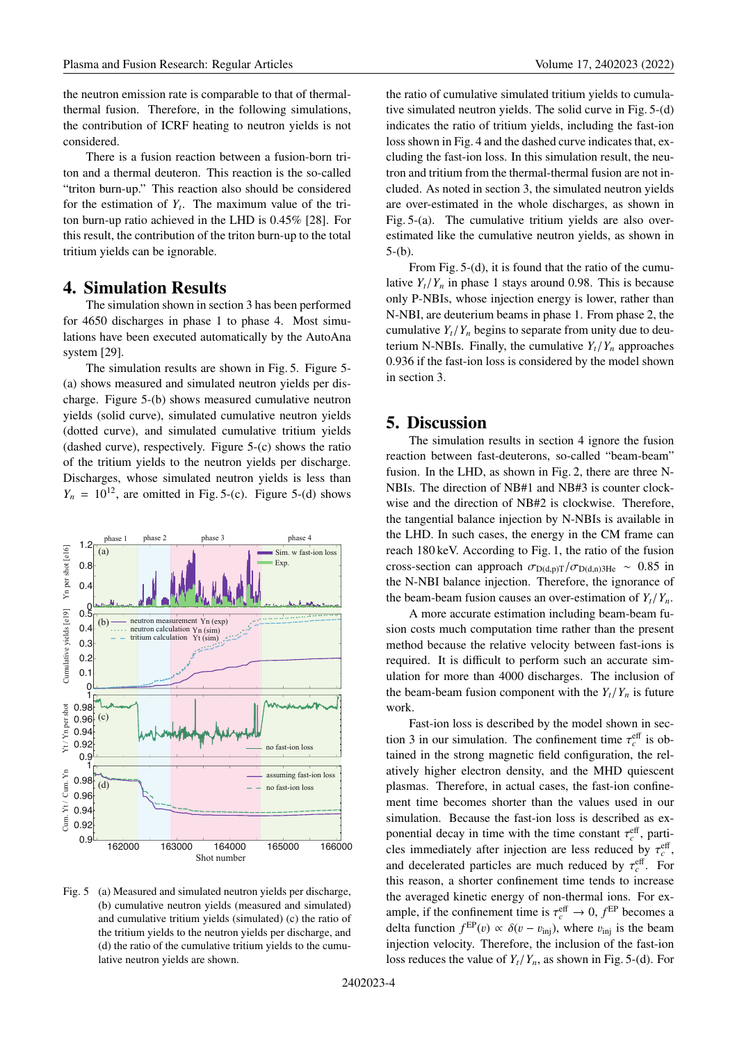the neutron emission rate is comparable to that of thermalthermal fusion. Therefore, in the following simulations, the contribution of ICRF heating to neutron yields is not considered.

There is a fusion reaction between a fusion-born triton and a thermal deuteron. This reaction is the so-called "triton burn-up." This reaction also should be considered for the estimation of  $Y_t$ . The maximum value of the triton burn-up ratio achieved in the LHD is 0.45% [28]. For this result, the contribution of the triton burn-up to the total tritium yields can be ignorable.

# **4. Simulation Results**

The simulation shown in section 3 has been performed for 4650 discharges in phase 1 to phase 4. Most simulations have been executed automatically by the AutoAna system [29].

The simulation results are shown in Fig. 5. Figure 5- (a) shows measured and simulated neutron yields per discharge. Figure 5-(b) shows measured cumulative neutron yields (solid curve), simulated cumulative neutron yields (dotted curve), and simulated cumulative tritium yields (dashed curve), respectively. Figure 5-(c) shows the ratio of the tritium yields to the neutron yields per discharge. Discharges, whose simulated neutron yields is less than  $Y_n = 10^{12}$ , are omitted in Fig. 5-(c). Figure 5-(d) shows



Fig. 5 (a) Measured and simulated neutron yields per discharge, (b) cumulative neutron yields (measured and simulated) and cumulative tritium yields (simulated) (c) the ratio of the tritium yields to the neutron yields per discharge, and (d) the ratio of the cumulative tritium yields to the cumulative neutron yields are shown.

the ratio of cumulative simulated tritium yields to cumulative simulated neutron yields. The solid curve in Fig. 5-(d) indicates the ratio of tritium yields, including the fast-ion loss shown in Fig. 4 and the dashed curve indicates that, excluding the fast-ion loss. In this simulation result, the neutron and tritium from the thermal-thermal fusion are not included. As noted in section 3, the simulated neutron yields are over-estimated in the whole discharges, as shown in Fig. 5-(a). The cumulative tritium yields are also overestimated like the cumulative neutron yields, as shown in  $5-(b)$ .

From Fig. 5-(d), it is found that the ratio of the cumulative  $Y_t/Y_n$  in phase 1 stays around 0.98. This is because only P-NBIs, whose injection energy is lower, rather than N-NBI, are deuterium beams in phase 1. From phase 2, the cumulative  $Y_t/Y_n$  begins to separate from unity due to deuterium N-NBIs. Finally, the cumulative  $Y_t/Y_n$  approaches 0.936 if the fast-ion loss is considered by the model shown in section 3.

## **5. Discussion**

The simulation results in section 4 ignore the fusion reaction between fast-deuterons, so-called "beam-beam" fusion. In the LHD, as shown in Fig. 2, there are three N-NBIs. The direction of NB#1 and NB#3 is counter clockwise and the direction of NB#2 is clockwise. Therefore, the tangential balance injection by N-NBIs is available in the LHD. In such cases, the energy in the CM frame can reach 180 keV. According to Fig. 1, the ratio of the fusion cross-section can approach  $\sigma_{D(d,p)T}/\sigma_{D(d,n)3He} \sim 0.85$  in the N-NBI balance injection. Therefore, the ignorance of the beam-beam fusion causes an over-estimation of  $Y_t/Y_n$ .

A more accurate estimation including beam-beam fusion costs much computation time rather than the present method because the relative velocity between fast-ions is required. It is difficult to perform such an accurate simulation for more than 4000 discharges. The inclusion of the beam-beam fusion component with the  $Y_t/Y_n$  is future work.

Fast-ion loss is described by the model shown in section 3 in our simulation. The confinement time  $\tau_c^{\text{eff}}$  is obtained in the strong magnetic field configuration, the relatively higher electron density, and the MHD quiescent plasmas. Therefore, in actual cases, the fast-ion confinement time becomes shorter than the values used in our simulation. Because the fast-ion loss is described as exponential decay in time with the time constant  $\tau_c^{\text{eff}}$ , particles immediately after injection are less reduced by  $\tau_c^{\text{eff}}$ , and decelerated particles are much reduced by  $\tau_c^{\text{eff}}$ . For this reason, a shorter confinement time tends to increase the averaged kinetic energy of non-thermal ions. For example, if the confinement time is  $\tau_c^{\text{eff}} \to 0$ ,  $f^{\text{EP}}$  becomes a delta function  $f^{\text{EP}}(v) \propto \delta(v - v_{\text{inj}})$ , where  $v_{\text{inj}}$  is the beam injection velocity. Therefore, the inclusion of the fast-ion loss reduces the value of  $Y_t/Y_n$ , as shown in Fig. 5-(d). For